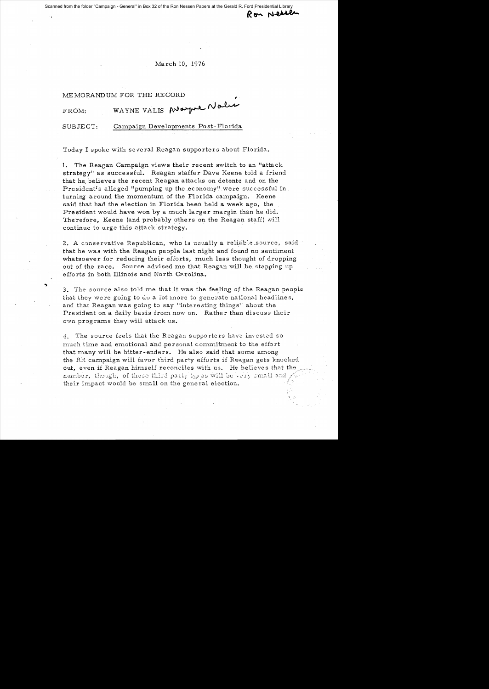Scanned from the folder "Campaign - General" in Box 32 of the Ron Nessen Papers at the Gerald R. Ford Presidential Librar

## March 10, 1976

Ron Nessen

## MEMORANDUM FOR THE RECORD

| FROM: | WAYNE VALIS Mayne Nau |
|-------|-----------------------|
|       |                       |

SUBJECT: Campaign Developments Post-Florida

Today I spoke with several Reagan supporters about Florida.

1. The Reagan Campaign views their recent switch to an "attack strategy" as successful. Reagan staffer Dave Keene told a friend that he believes the recent Reagan attacks on detente and on the President's alleged "pumping up the economy" were successful in. turning around the momentum of the Florida campaign. Keene said that had the election in Florida been held a week ago, the President would have won by a much larger margin than he did. Therefore, Keene (and probably others on the Reagan staff) will continue to urge this attack strategy.

2. A conservative Republican, who is usually a reliable source, said that he was with the Reagan people last night and found no sentiment whatsoever for reducing their efforts, much less thought of dropping out of the race. Source advised me that Reagan will be stepping up efforts in both Illinois and North Carolina.

3. The source also told me that it was the feeling of the Reagan people that they were going to do a lot more to generate national headlines, and that Reagan was going to say "interesting things" about the President on a daily basis from now on. Rather than discuss their own programs they will attack us.

4. The source feels that the Reagan supporters have invested so much time and emotional and personal commitment to the effort that many will be bitter-enders. He also said that some among the RR campaign will favor third party efforts if Reagan gets knocked out, even if Reagan himself reconciles with us. He believes that the number, though, of these third party types will be very small and their impact would be small on the general election.